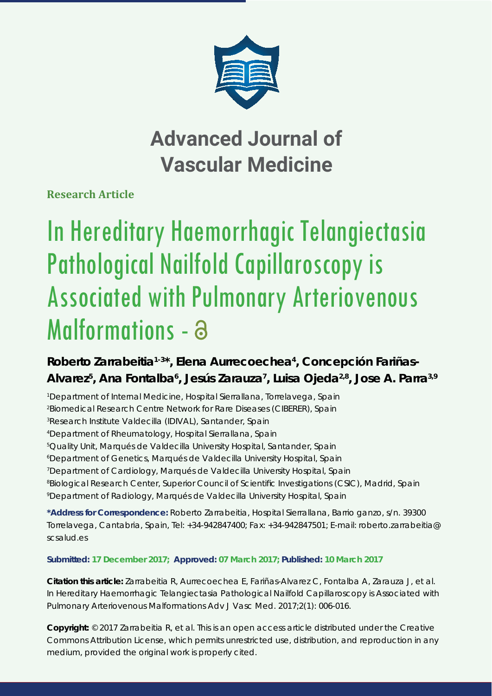

# **Advanced Journal of Vascular Medicine**

**Research Article**

# In Hereditary Haemorrhagic Telangiectasia Pathological Nailfold Capillaroscopy is Associated with Pulmonary Arteriovenous Malformations - a

## Roberto Zarrabeitia<sup>1-3\*</sup>, Elena Aurrecoechea<sup>4</sup>, Concepción Fariñas-Alvarez<sup>5</sup>, Ana Fontalba<sup>6</sup>, Jesús Zarauza<sup>7</sup>, Luisa Ojeda<sup>2,8</sup>, Jose A. Parra<sup>3,9</sup>

*1 Department of Internal Medicine, Hospital Sierrallana, Torrelavega, Spain*

*2 Biomedical Research Centre Network for Rare Diseases (CIBERER), Spain*

*3 Research Institute Valdecilla (IDIVAL), Santander, Spain*

*4 Department of Rheumatology, Hospital Sierrallana, Spain*

*5 Quality Unit, Marqués de Valdecilla University Hospital, Santander, Spain*

*6 Department of Genetics, Marqués de Valdecilla University Hospital, Spain*

*7 Department of Cardiology, Marqués de Valdecilla University Hospital, Spain*

*8 Biological Research Center, Superior Council of Scientifi c Investigations (CSIC), Madrid, Spain 9 Department of Radiology, Marqués de Valdecilla University Hospital, Spain*

**\*Address for Correspondence:** Roberto Zarrabeitia, Hospital Sierrallana, Barrio ganzo, s/n. 39300 Torrelavega, Cantabria, Spain, Tel: +34-942847400; Fax: +34-942847501; E-mail: roberto.zarrabeitia@ scsalud.es

### **Submitted: 17 December 2017; Approved: 07 March 2017; Published: 10 March 2017**

**Citation this article:** Zarrabeitia R, Aurrecoechea E, Fariñas-Alvarez C, Fontalba A, Zarauza J, et al. In Hereditary Haemorrhagic Telangiectasia Pathological Nailfold Capillaroscopy is Associated with Pulmonary Arteriovenous Malformations Adv J Vasc Med. 2017;2(1): 006-016.

**Copyright:** © 2017 Zarrabeitia R, et al. This is an open access article distributed under the Creative Commons Attribution License, which permits unrestricted use, distribution, and reproduction in any medium, provided the original work is properly cited.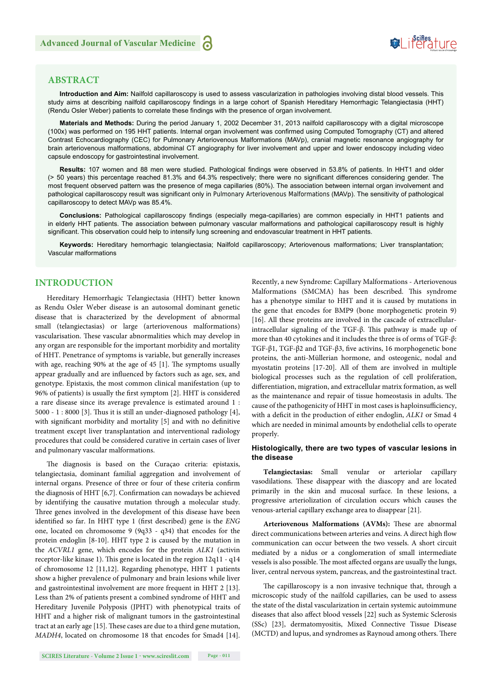## **SeiRes** ture

#### **ABSTRACT**

**Introduction and Aim:** Nailfold capillaroscopy is used to assess vascularization in pathologies involving distal blood vessels. This study aims at describing nailfold capillaroscopy findings in a large cohort of Spanish Hereditary Hemorrhagic Telangiectasia (HHT) (Rendu Osler Weber) patients to correlate these findings with the presence of organ involvement.

**Materials and Methods:** During the period January 1, 2002 December 31, 2013 nailfold capillaroscopy with a digital microscope (100x) was performed on 195 HHT patients. Internal organ involvement was confi rmed using Computed Tomography (CT) and altered Contrast Echocardiography (CEC) for Pulmonary Arteriovenous Malformations (MAVp), cranial magnetic resonance angiography for brain arteriovenous malformations, abdominal CT angiography for liver involvement and upper and lower endoscopy including video capsule endoscopy for gastrointestinal involvement.

Results: 107 women and 88 men were studied. Pathological findings were observed in 53.8% of patients. In HHT1 and older (> 50 years) this percentage reached 81.3% and 64.3% respectively; there were no significant differences considering gender. The most frequent observed pattern was the presence of mega capillaries (80%). The association between internal organ involvement and pathological capillaroscopy result was significant only in Pulmonary Arteriovenous Malformations (MAVp). The sensitivity of pathological capillaroscopy to detect MAVp was 85.4%.

Conclusions: Pathological capillaroscopy findings (especially mega-capillaries) are common especially in HHT1 patients and in elderly HHT patients. The association between pulmonary vascular malformations and pathological capillaroscopy result is highly significant. This observation could help to intensify lung screening and endovascular treatment in HHT patients.

**Keywords:** Hereditary hemorrhagic telangiectasia; Nailfold capillaroscopy; Arteriovenous malformations; Liver transplantation; Vascular malformations

#### **INTRODUCTION**

Hereditary Hemorrhagic Telangiectasia (HHT) better known as Rendu Osler Weber disease is an autosomal dominant genetic disease that is characterized by the development of abnormal small (telangiectasias) or large (arteriovenous malformations) vascularisation. These vascular abnormalities which may develop in any organ are responsible for the important morbidity and mortality of HHT. Penetrance of symptoms is variable, but generally increases with age, reaching  $90\%$  at the age of 45 [1]. The symptoms usually appear gradually and are influenced by factors such as age, sex, and genotype. Epistaxis, the most common clinical manifestation (up to 96% of patients) is usually the first symptom [2]. HHT is considered a rare disease since its average prevalence is estimated around 1 : 5000 - 1 : 8000 [3]. Thus it is still an under-diagnosed pathology [4], with significant morbidity and mortality [5] and with no definitive treatment except liver transplantation and interventional radiology procedures that could be considered curative in certain cases of liver and pulmonary vascular malformations.

The diagnosis is based on the Curaçao criteria: epistaxis, telangiectasia, dominant familial aggregation and involvement of internal organs. Presence of three or four of these criteria confirm the diagnosis of HHT [6,7]. Confirmation can nowadays be achieved by identifying the causative mutation through a molecular study. Three genes involved in the development of this disease have been identified so far. In HHT type 1 (first described) gene is the *ENG* one, located on chromosome 9 (9q33 - q34) that encodes for the protein endoglin [8-10]. HHT type 2 is caused by the mutation in the *ACVRL1* gene, which encodes for the protein *ALK1* (activin receptor-like kinase 1). This gene is located in the region  $12q11 - q14$ of chromosome 12 [11,12]. Regarding phenotype, HHT 1 patients show a higher prevalence of pulmonary and brain lesions while liver and gastrointestinal involvement are more frequent in HHT 2 [13]. Less than 2% of patients present a combined syndrome of HHT and Hereditary Juvenile Polyposis (JPHT) with phenotypical traits of HHT and a higher risk of malignant tumors in the gastrointestinal tract at an early age [15]. These cases are due to a third gene mutation, *MADH4*, located on chromosome 18 that encodes for Smad4 [14].

Recently, a new Syndrome: Capillary Malformations - Arteriovenous Malformations (SMCMA) has been described. This syndrome has a phenotype similar to HHT and it is caused by mutations in the gene that encodes for BMP9 (bone morphogenetic protein 9) [16]. All these proteins are involved in the cascade of extracellularintracellular signaling of the TGF- $\beta$ . This pathway is made up of more than 40 cytokines and it includes the three is of orms of TGF-β: TGF- $\beta$ 1, TGF- $\beta$ 2 and TGF- $\beta$ 3, five activins, 16 morphogenetic bone proteins, the anti-Müllerian hormone, and osteogenic, nodal and myostatin proteins [17-20]. All of them are involved in multiple biological processes such as the regulation of cell proliferation, differentiation, migration, and extracellular matrix formation, as well as the maintenance and repair of tissue homeostasis in adults. The cause of the pathogenicity of HHT in most cases is haploinsufficiency, with a deficit in the production of either endoglin, *ALK1* or Smad 4 which are needed in minimal amounts by endothelial cells to operate properly.

#### **Histologically, there are two types of vascular lesions in the disease**

**Telangiectasias:** Small venular or arteriolar capillary vasodilations. These disappear with the diascopy and are located primarily in the skin and mucosal surface. In these lesions, a progressive arteriolization of circulation occurs which causes the venous-arterial capillary exchange area to disappear [21].

Arteriovenous Malformations (AVMs): These are abnormal direct communications between arteries and veins. A direct high flow communication can occur between the two vessels. A short circuit mediated by a nidus or a conglomeration of small intermediate vessels is also possible. The most affected organs are usually the lungs, liver, central nervous system, pancreas, and the gastrointestinal tract.

The capillaroscopy is a non invasive technique that, through a microscopic study of the nailfold capillaries, can be used to assess the state of the distal vascularization in certain systemic autoimmune diseases that also affect blood vessels [22] such as Systemic Sclerosis (SSc) [23], dermatomyositis, Mixed Connective Tissue Disease (MCTD) and lupus, and syndromes as Raynoud among others. There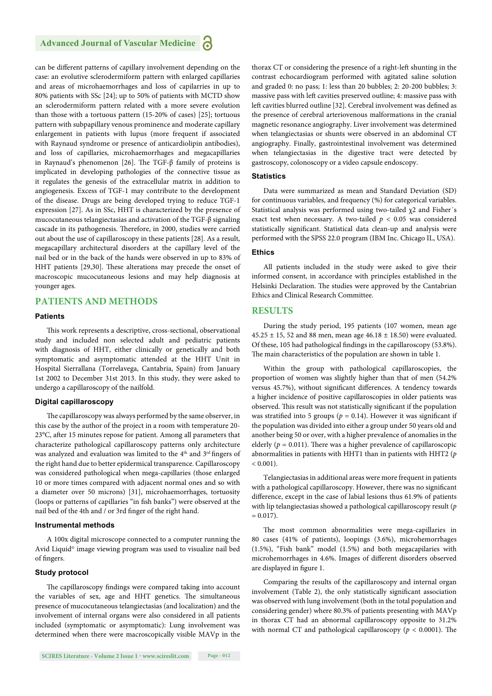#### **Advanced Journal of Vascular Medicine**

can be different patterns of capillary involvement depending on the case: an evolutive sclerodermiform pattern with enlarged capillaries and areas of microhaemorrhages and loss of capilarries in up to 80% patients with SSc [24]; up to 50% of patients with MCTD show an sclerodermiform pattern related with a more severe evolution than those with a tortuous pattern (15-20% of cases) [25]; tortuous pattern with subpapillary venous prominence and moderate capillary enlargement in patients with lupus (more frequent if associated with Raynaud syndrome or presence of anticardiolipin antibodies), and loss of capillaries, microhaemorrhages and megacapillaries in Raynaud's phenomenon [26]. The TGF- $\beta$  family of proteins is implicated in developing pathologies of the connective tissue as it regulates the genesis of the extracellular matrix in addition to angiogenesis. Excess of TGF-1 may contribute to the development of the disease. Drugs are being developed trying to reduce TGF-1 expression [27]. As in SSc, HHT is characterized by the presence of mucocutaneous telangiectasias and activation of the TGF-β signaling cascade in its pathogenesis. Therefore, in 2000, studies were carried out about the use of capillaroscopy in these patients [28]. As a result, megacapillary architectural disorders at the capillary level of the nail bed or in the back of the hands were observed in up to 83% of HHT patients [29,30]. These alterations may precede the onset of macroscopic mucocutaneous lesions and may help diagnosis at younger ages.

#### **PATIENTS AND METHODS**

#### **Patients**

This work represents a descriptive, cross-sectional, observational study and included non selected adult and pediatric patients with diagnosis of HHT, either clinically or genetically and both symptomatic and asymptomatic attended at the HHT Unit in Hospital Sierrallana (Torrelavega, Cantabria, Spain) from January 1st 2002 to December 31st 2013. In this study, they were asked to undergo a capillaroscopy of the nailfold.

#### **Digital capillaroscopy**

The capillaroscopy was always performed by the same observer, in this case by the author of the project in a room with temperature 20-  $23^{\circ}$ C, after 15 minutes repose for patient. Among all parameters that characterize pathological capillaroscopy patterns only architecture was analyzed and evaluation was limited to the 4<sup>th</sup> and 3<sup>rd</sup> fingers of the right hand due to better epidermical transparence. Capillaroscopy was considered pathological when mega-capillaries (those enlarged 10 or more times compared with adjacent normal ones and so with a diameter over 50 microns) [31], microhaemorrhages, tortuosity (loops or patterns of capillaries "in fish banks") were observed at the nail bed of the 4th and / or 3rd finger of the right hand.

#### **Instrumental methods**

A 100x digital microscope connected to a computer running the Avid Liquid<sup>®</sup> image viewing program was used to visualize nail bed of fingers.

#### **Study protocol**

The capillaroscopy findings were compared taking into account the variables of sex, age and HHT genetics. The simultaneous presence of mucocutaneous telangiectasias (and localization) and the involvement of internal organs were also considered in all patients included (symptomatic or asymptomatic): Lung involvement was determined when there were macroscopically visible MAVp in the

**SCIRES Literature - Volume 2 Issue 1 - www.scireslit.com Page - 012**

thorax CT or considering the presence of a right-left shunting in the contrast echocardiogram performed with agitated saline solution and graded 0: no pass; 1: less than 20 bubbles; 2: 20-200 bubbles; 3: massive pass with left cavities preserved outline; 4: massive pass with left cavities blurred outline [32]. Cerebral involvement was defined as the presence of cerebral arteriovenous malformations in the cranial magnetic resonance angiography. Liver involvement was determined when telangiectasias or shunts were observed in an abdominal CT angiography. Finally, gastrointestinal involvement was determined when telangiectasias in the digestive tract were detected by gastroscopy, colonoscopy or a video capsule endoscopy.

#### **Statistics**

Data were summarized as mean and Standard Deviation (SD) for continuous variables, and frequency (%) for categorical variables. Statistical analysis was performed using two-tailed χ2 and Fisher´s exact test when necessary. A two-tailed  $p < 0.05$  was considered statistically significant. Statistical data clean-up and analysis were performed with the SPSS 22.0 program (IBM Inc. Chicago IL, USA).

#### **Ethics**

All patients included in the study were asked to give their informed consent, in accordance with principles established in the Helsinki Declaration. The studies were approved by the Cantabrian Ethics and Clinical Research Committee.

#### **RESULTS**

During the study period, 195 patients (107 women, mean age  $45.25 \pm 15$ , 52 and 88 men, mean age  $46.18 \pm 18.50$ ) were evaluated. Of these, 105 had pathological findings in the capillaroscopy (53.8%). The main characteristics of the population are shown in table 1.

Within the group with pathological capillaroscopies, the proportion of women was slightly higher than that of men (54.2% versus 45.7%), without significant differences. A tendency towards a higher incidence of positive capillaroscopies in older patients was observed. This result was not statistically significant if the population was stratified into 5 groups ( $p = 0.14$ ). However it was significant if the population was divided into either a group under 50 years old and another being 50 or over, with a higher prevalence of anomalies in the elderly ( $p = 0.011$ ). There was a higher prevalence of capillaroscopic abnormalities in patients with HHT1 than in patients with HHT2 (*p*  $< 0.001$ ).

Telangiectasias in additional areas were more frequent in patients with a pathological capillaroscopy. However, there was no significant difference, except in the case of labial lesions thus 61.9% of patients with lip telangiectasias showed a pathological capillaroscopy result (*p*  $= 0.017$ ).

The most common abnormalities were mega-capillaries in 80 cases (41% of patients), loopings (3.6%), microhemorrhages (1.5%), "Fish bank" model (1.5%) and both megacapilaries with microhemorrhages in 4.6%. Images of different disorders observed are displayed in figure 1.

Comparing the results of the capillaroscopy and internal organ involvement (Table 2), the only statistically significant association was observed with lung involvement (both in the total population and considering gender) where 80.3% of patients presenting with MAVp in thorax CT had an abnormal capillaroscopy opposite to 31.2% with normal CT and pathological capillaroscopy ( $p < 0.0001$ ). The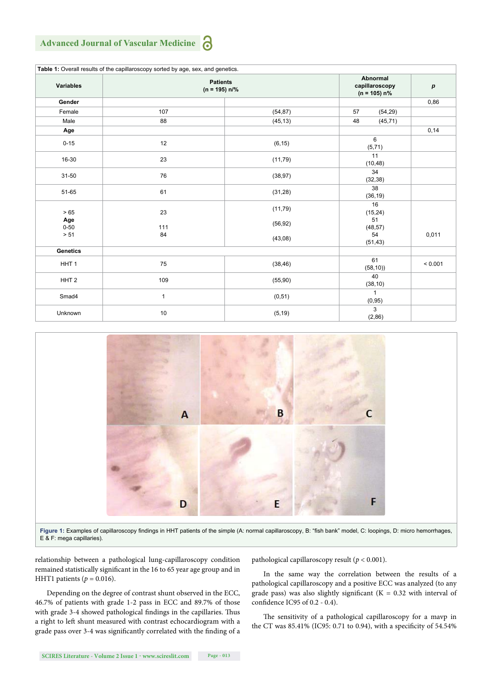#### **Advanced Journal of Vascular Medicine** a

|                  | Table 1: Overall results of the capillaroscopy sorted by age, sex, and genetics. |          |                                              |                  |
|------------------|----------------------------------------------------------------------------------|----------|----------------------------------------------|------------------|
| Variables        | <b>Patients</b><br>$(n = 195) n\frac{9}{6}$                                      |          | Abnormal<br>capillaroscopy<br>$(n = 105) n%$ | $\boldsymbol{p}$ |
| Gender           |                                                                                  |          |                                              | 0,86             |
| Female           | 107                                                                              | (54, 87) | 57<br>(54, 29)                               |                  |
| Male             | 88                                                                               | (45, 13) | 48<br>(45, 71)                               |                  |
| Age              |                                                                                  |          |                                              | 0,14             |
| $0 - 15$         | 12                                                                               | (6, 15)  | 6<br>(5,71)                                  |                  |
| 16-30            | 23                                                                               | (11, 79) | 11<br>(10, 48)                               |                  |
| $31 - 50$        | 76                                                                               | (38, 97) | 34<br>(32, 38)                               |                  |
| 51-65            | 61                                                                               | (31, 28) | 38<br>(36, 19)                               |                  |
| $>65$            | 23                                                                               | (11, 79) | 16<br>(15, 24)                               |                  |
| Age<br>$0 - 50$  | 111                                                                              | (56, 92) | 51<br>(48, 57)                               |                  |
| > 51             | 84                                                                               | (43,08)  | 54<br>(51, 43)                               | 0,011            |
| <b>Genetics</b>  |                                                                                  |          |                                              |                  |
| HHT <sub>1</sub> | 75                                                                               | (38, 46) | 61<br>(58, 10)                               | < 0.001          |
| HHT <sub>2</sub> | 109                                                                              | (55, 90) | 40<br>(38, 10)                               |                  |
| Smad4            | 1                                                                                | (0, 51)  | $\mathbf{1}$<br>(0, 95)                      |                  |
| Unknown          | 10                                                                               | (5, 19)  | 3<br>(2, 86)                                 |                  |



Figure 1: Examples of capillaroscopy findings in HHT patients of the simple (A: normal capillaroscopy, B: "fish bank" model, C: loopings, D: micro hemorrhages, E & F: mega capillaries).

relationship between a pathological lung-capillaroscopy condition remained statistically significant in the 16 to 65 year age group and in HHT1 patients  $(p = 0.016)$ .

Depending on the degree of contrast shunt observed in the ECC, 46.7% of patients with grade 1-2 pass in ECC and 89.7% of those with grade 3-4 showed pathological findings in the capillaries. Thus a right to left shunt measured with contrast echocardiogram with a grade pass over 3-4 was significantly correlated with the finding of a pathological capillaroscopy result (*p* < 0.001).

In the same way the correlation between the results of a pathological capillaroscopy and a positive ECC was analyzed (to any grade pass) was also slightly significant ( $K = 0.32$  with interval of confidence IC95 of 0.2 - 0.4).

The sensitivity of a pathological capillaroscopy for a mavp in the CT was  $85.41\%$  (IC95: 0.71 to 0.94), with a specificity of 54.54%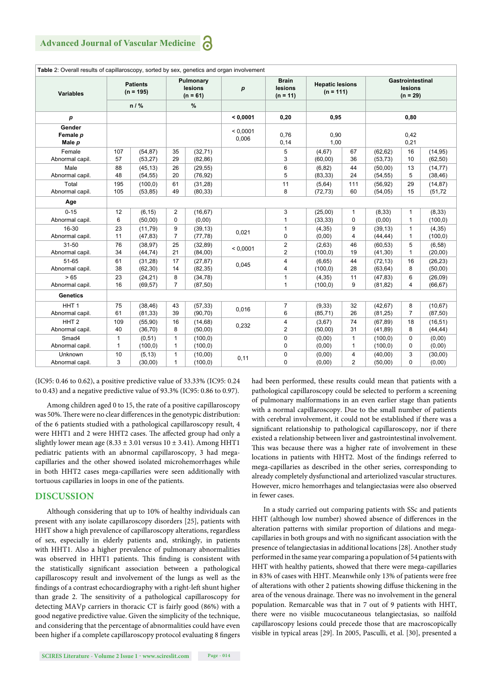|                              |                                | Pulmonary |                       |          | <b>Brain</b>      |                         |                                       |                | <b>Gastrointestinal</b> |                |          |
|------------------------------|--------------------------------|-----------|-----------------------|----------|-------------------|-------------------------|---------------------------------------|----------------|-------------------------|----------------|----------|
| <b>Variables</b>             | <b>Patients</b><br>$(n = 195)$ |           | lesions<br>$(n = 61)$ |          | $\boldsymbol{p}$  | lesions<br>$(n = 11)$   | <b>Hepatic lesions</b><br>$(n = 111)$ |                | lesions<br>$(n = 29)$   |                |          |
|                              |                                | n / %     |                       | %        |                   |                         |                                       |                |                         |                |          |
| p                            |                                |           |                       |          | < 0.0001          | 0.20                    | 0.95                                  |                | 0.80                    |                |          |
| Gender<br>Female p<br>Male p |                                |           |                       |          | < 0.0001<br>0,006 | 0.76<br>0,14            | 0,90<br>1,00                          |                | 0.42<br>0,21            |                |          |
| Female                       | 107                            | (54, 87)  | 35                    | (32, 71) |                   | 5                       | (4, 67)                               | 67             | (62, 62)                | 16             | (14, 95) |
| Abnormal capil.              | 57                             | (53, 27)  | 29                    | (82, 86) |                   | 3                       | (60,00)                               | 36             | (53, 73)                | 10             | (62, 50) |
| Male                         | 88                             | (45, 13)  | 26                    | (29, 55) |                   | 6                       | (6, 82)                               | 44             | (50,00)                 | 13             | (14, 77) |
| Abnormal capil.              | 48                             | (54, 55)  | 20                    | (76, 92) |                   | 5                       | (83, 33)                              | 24             | (54, 55)                | 5              | (38, 46) |
| Total                        | 195                            | (100, 0)  | 61                    | (31, 28) |                   | 11                      | (5,64)                                | 111            | (56, 92)                | 29             | (14, 87) |
| Abnormal capil.              | 105                            | (53, 85)  | 49                    | (80, 33) |                   | 8                       | (72, 73)                              | 60             | (54, 05)                | 15             | (51, 72) |
| Age                          |                                |           |                       |          |                   |                         |                                       |                |                         |                |          |
| $0 - 15$                     | 12                             | (6, 15)   | 2                     | (16, 67) |                   | 3                       | (25,00)                               | $\mathbf{1}$   | (8, 33)                 | 1              | (8, 33)  |
| Abnormal capil.              | 6                              | (50,00)   | 0                     | (0,00)   |                   | 1                       | (33, 33)                              | $\mathbf 0$    | (0,00)                  | $\mathbf{1}$   | (100, 0) |
| 16-30                        | 23                             | (11.79)   | 9                     | (39, 13) | 0,021             | $\mathbf{1}$            | (4, 35)                               | 9              | (39, 13)                | $\mathbf{1}$   | (4, 35)  |
| Abnormal capil.              | 11                             | (47, 83)  | $\overline{7}$        | (77, 78) |                   | $\mathbf 0$             | (0,00)                                | 4              | (44, 44)                | 1              | (100, 0) |
| $31 - 50$                    | 76                             | (38, 97)  | 25                    | (32, 89) | < 0.0001          | $\sqrt{2}$              | (2,63)                                | 46             | (60, 53)                | 5              | (6, 58)  |
| Abnormal capil.              | 34                             | (44, 74)  | 21                    | (84,00)  |                   | $\overline{2}$          | (100, 0)                              | 19             | (41,30)                 | $\mathbf{1}$   | (20,00)  |
| 51-65                        | 61                             | (31, 28)  | 17                    | (27, 87) | 0,045             | $\overline{\mathbf{4}}$ | (6,65)                                | 44             | (72, 13)                | 16             | (26, 23) |
| Abnormal capil.              | 38                             | (62, 30)  | 14                    | (82, 35) |                   | 4                       | (100, 0)                              | 28             | (63, 64)                | 8              | (50,00)  |
| >65                          | 23                             | (24, 21)  | 8                     | (34, 78) |                   | $\mathbf{1}$            | (4, 35)                               | 11             | (47, 83)                | 6              | (26,09)  |
| Abnormal capil.              | 16                             | (69, 57)  | $\overline{7}$        | (87, 50) |                   | $\mathbf{1}$            | (100, 0)                              | 9              | (81, 82)                | 4              | (66, 67) |
| <b>Genetics</b>              |                                |           |                       |          |                   |                         |                                       |                |                         |                |          |
| HHT <sub>1</sub>             | 75                             | (38, 46)  | 43                    | (57, 33) | 0,016             | $\overline{7}$          | (9, 33)                               | 32             | (42, 67)                | 8              | (10, 67) |
| Abnormal capil.              | 61                             | (81, 33)  | 39                    | (90, 70) |                   | 6                       | (85, 71)                              | 26             | (81, 25)                | $\overline{7}$ | (87, 50) |
| HHT <sub>2</sub>             | 109                            | (55, 90)  | 16                    | (14, 68) | 0,232             | $\pmb{4}$               | (3,67)                                | 74             | (67, 89)                | 18             | (16, 51) |
| Abnormal capil.              | 40                             | (36, 70)  | 8                     | (50,00)  |                   | $\overline{2}$          | (50,00)                               | 31             | (41, 89)                | 8              | (44, 44) |
| Smad4                        | 1                              | (0, 51)   | 1                     | (100, 0) |                   | $\pmb{0}$               | (0,00)                                | $\mathbf{1}$   | (100, 0)                | 0              | (0,00)   |
| Abnormal capil.              | $\mathbf{1}$                   | (100, 0)  | $\mathbf{1}$          | (100, 0) |                   | $\mathbf 0$             | (0,00)                                | $\mathbf{1}$   | (100, 0)                | $\Omega$       | (0,00)   |
| Unknown                      | 10                             | (5, 13)   | 1                     | (10,00)  |                   | $\pmb{0}$               | (0,00)                                | 4              | (40,00)                 | 3              | (30,00)  |
| Abnormal capil.              | 3                              | (30,00)   | 1                     | (100, 0) | 0,11              | $\mathbf 0$             | (0,00)                                | $\overline{2}$ | (50,00)                 | $\Omega$       | (0,00)   |

(IC95: 0.46 to 0.62), a positive predictive value of 33.33% (IC95: 0.24 to 0.43) and a negative predictive value of 93.3% (IC95: 0.86 to 0.97).

Among children aged 0 to 15, the rate of a positive capillaroscopy was 50%. There were no clear differences in the genotypic distribution: of the 6 patients studied with a pathological capillaroscopy result, 4 were HHT1 and 2 were HHT2 cases. The affected group had only a slightly lower mean age  $(8.33 \pm 3.01$  versus  $10 \pm 3.41$ ). Among HHT1 pediatric patients with an abnormal capillaroscopy, 3 had megacapillaries and the other showed isolated microhemorrhages while in both HHT2 cases mega-capillaries were seen additionally with tortuous capillaries in loops in one of the patients.

#### **DISCUSSION**

Although considering that up to 10% of healthy individuals can present with any isolate capillaroscopy disorders [25], patients with HHT show a high prevalence of capillaroscopy alterations, regardless of sex, especially in elderly patients and, strikingly, in patients with HHT1. Also a higher prevalence of pulmonary abnormalities was observed in HHT1 patients. This finding is consistent with the statistically significant association between a pathological capillaroscopy result and involvement of the lungs as well as the findings of a contrast echocardiography with a right-left shunt higher than grade 2. The sensitivity of a pathological capillaroscopy for detecting MAVp carriers in thoracic CT is fairly good (86%) with a good negative predictive value. Given the simplicity of the technique, and considering that the percentage of abnormalities could have even been higher if a complete capillaroscopy protocol evaluating 8 fingers had been performed, these results could mean that patients with a pathological capillaroscopy could be selected to perform a screening of pulmonary malformations in an even earlier stage than patients with a normal capillaroscopy. Due to the small number of patients with cerebral involvement, it could not be established if there was a significant relationship to pathological capillaroscopy, nor if there existed a relationship between liver and gastrointestinal involvement. This was because there was a higher rate of involvement in these locations in patients with HHT2. Most of the findings referred to mega-capillaries as described in the other series, corresponding to already completely dysfunctional and arteriolized vascular structures. However, micro hemorrhages and telangiectasias were also observed in fewer cases.

In a study carried out comparing patients with SSc and patients HHT (although low number) showed absence of differences in the alteration patterns with similar proportion of dilations and megacapillaries in both groups and with no significant association with the presence of telangiectasias in additional locations [28]. Another study performed in the same year comparing a population of 54 patients with HHT with healthy patients, showed that there were mega-capillaries in 83% of cases with HHT. Meanwhile only 13% of patients were free of alterations with other 2 patients showing diffuse thickening in the area of the venous drainage. There was no involvement in the general population. Remarcable was that in 7 out of 9 patients with HHT, there were no visible mucocutaneous telangiectasias, so nailfold capillaroscopy lesions could precede those that are macroscopically visible in typical areas [29]. In 2005, Pasculli, et al. [30], presented a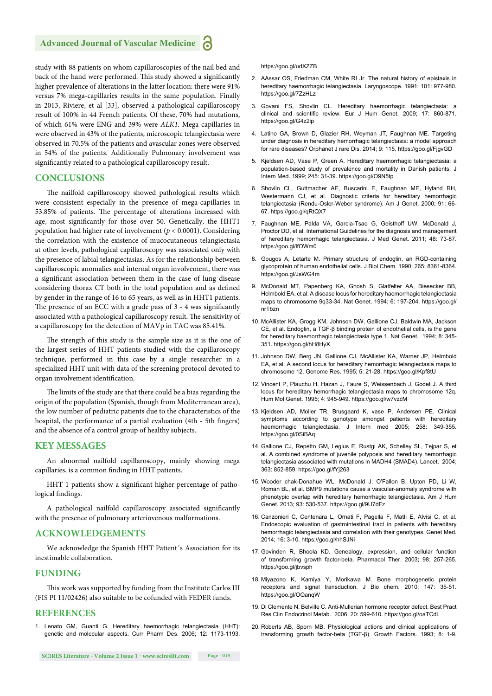study with 88 patients on whom capillaroscopies of the nail bed and back of the hand were performed. This study showed a significantly higher prevalence of alterations in the latter location: there were 91% versus 7% mega-capillaries results in the same population. Finally in 2013, Riviere, et al [33], observed a pathological capillaroscopy result of 100% in 44 French patients. Of these, 70% had mutations, of which 61% were ENG and 39% were *ALK1*. Mega-capillaries in were observed in 43% of the patients, microscopic telangiectasia were observed in 70.5% of the patients and avascular zones were observed in 54% of the patients. Additionally Pulmonary involvement was significantly related to a pathological capillaroscopy result.

#### **CONCLUSIONS**

The nailfold capillaroscopy showed pathological results which were consistent especially in the presence of mega-capillaries in 53.85% of patients. The percentage of alterations increased with age, most significantly for those over 50. Genetically, the HHT1 population had higher rate of involvement (*p* < 0.0001). Considering the correlation with the existence of mucocutaneous telangiectasia at other levels, pathological capillaroscopy was associated only with the presence of labial telangiectasias. As for the relationship between capillaroscopic anomalies and internal organ involvement, there was a significant association between them in the case of lung disease considering thorax CT both in the total population and as defined by gender in the range of 16 to 65 years, as well as in HHT1 patients. The presence of an ECC with a grade pass of  $3 - 4$  was significantly associated with a pathological capillaroscopy result. The sensitivity of a capillaroscopy for the detection of MAVp in TAC was 85.41%.

The strength of this study is the sample size as it is the one of the largest series of HHT patients studied with the capillaroscopy technique, performed in this case by a single researcher in a specialized HHT unit with data of the screening protocol devoted to organ involvement identification.

The limits of the study are that there could be a bias regarding the origin of the population (Spanish, though from Mediterranean area), the low number of pediatric patients due to the characteristics of the hospital, the performance of a partial evaluation (4th - 5th fingers) and the absence of a control group of healthy subjects.

#### **KEY MESSAGES**

An abnormal nailfold capillaroscopy, mainly showing mega capillaries, is a common finding in HHT patients.

HHT 1 patients show a significant higher percentage of pathological findings.

A pathological nailfold capillaroscopy associated significantly with the presence of pulmonary arteriovenous malformations.

#### **ACKNOWLEDGEMENTS**

We acknowledge the Spanish HHT Patient´s Association for its inestimable collaboration.

#### **FUNDING**

This work was supported by funding from the Institute Carlos III (FIS PI 11/02426) also suitable to be cofunded with FEDER funds.

#### **REFERENCES**

1. Lenato GM, Guanti G. Hereditary haemorrhagic telangiectasia (HHT): genetic and molecular aspects. Curr Pharm Des. 2006; 12: 1173-1193. https://goo.gl/udXZZB

- 2. AAssar OS, Friedman CM, White RI Jr. The natural history of epistaxis in hereditary haemorrhagic telangiectasia. Laryngoscope. 1991; 101: 977-980. https://goo.gl/7ZzHLz
- 3. Govani FS, Shovlin CL. Hereditary haemorrhagic telangiectasia: a clinical and scientific review. Eur J Hum Genet. 2009; 17: 860-871. https://goo.gl/G4z2ip
- 4. Latino GA, Brown D, Glazier RH, Weyman JT, Faughnan ME. Targeting under diagnosis in hereditary hemorrhagic telangiectasia: a model approach for rare diseases? Orphanet J rare Dis. 2014; 9: 115. https://goo.gl/FjgvGD
- 5. Kjeldsen AD, Vase P, Green A. Hereditary haemorrhagic telangiectasia: a population-based study of prevalence and mortality in Danish patients. J Intern Med. 1999; 245: 31-39. https://goo.gl/O9N5tp
- 6. Shovlin CL, Guttmacher AE, Buscarini E, Faughnan ME, Hyland RH, Westermann CJ, et al. Diagnostic criteria for hereditary hemorrhagic telangiectasia (Rendu-Osler-Weber syndrome). Am J Genet. 2000; 91: 66- 67. https://goo.gl/qRtQX7
- 7. Faughnan ME, Palda VA, Garcia-Tsao G, Geisthoff UW, McDonald J, Proctor DD, et al. International Guidelines for the diagnosis and management of hereditary hemorrhagic telangiectasia. J Med Genet. 2011; 48: 73-87. https://goo.gl/lfOWm0
- 8. Gougos A, Letarte M. Primary structure of endoglin, an RGD-containing glycoprotein of human endothelial cells. J Biol Chem. 1990; 265: 8361-8364. https://goo.gl/JsWG4m
- 9. McDonald MT, Papenberg KA, Ghosh S, Glatfelter AA, Biesecker BB, Helmbold EA, et al. A disease locus for hereditary haemorrhagic telangiectasia maps to chromosome 9q33-34. Nat Genet. 1994; 6: 197-204. https://goo.gl/ nrTbzn
- 10. McAllister KA, Grogg KM, Johnson DW, Gallione CJ, Baldwin MA, Jackson CE, et al. Endoglin, a TGF-β binding protein of endothelial cells, is the gene for hereditary haemorrhagic telangiectasia type 1. Nat Genet. 1994; 8: 345- 351. https://goo.gl/hH8HyX
- 11. Johnson DW, Berg JN, Gallione CJ, McAllister KA, Warner JP, Helmbold EA, et al. A second locus for hereditary hemorrhagic telangiectasia maps to chromosome 12. Genome Res. 1995; 5: 21-28. https://goo.gl/Kpf8tU
- 12. Vincent P, Plauchu H, Hazan J, Faure S, Weissenbach J, Godet J. A third locus for hereditary hemorrhagic telangiectasia maps to chromosome 12q. Hum Mol Genet. 1995; 4: 945-949. https://goo.gl/w7vzcM
- 13. Kjeldsen AD, Moller TR, Brusgaard K, vase P, Andersen PE. Clinical symptoms according to genotype amongst patients with hereditary haemorrhagic telangiectasia. J Intern med 2005; 258: 349-355. https://goo.gl/0SiBAq
- 14. Gallione CJ, Repetto GM, Legius E, Rustgi AK, Schelley SL, Tejpar S, et al. A combined syndrome of juvenile polyposis and hereditary hemorrhagic telangiectasia associated with mutations in MADH4 (SMAD4). Lancet. 2004; 363: 852-859. https://goo.gl/fYj263
- 15. Wooder chak-Donahue WL, McDonald J, O'Fallon B, Upton PD, Li W, Roman BL, et al. BMP9 mutations cause a vascular-anomaly syndrome with phenotypic overlap with hereditary hemorrhagic telangiectasia. Am J Hum Genet. 2013; 93: 530-537. https://goo.gl/9U7dFz
- 16. Canzonieri C, Centenara L, Ornati F, Pagella F, Matti E, Alvisi C, et al. Endoscopic evaluation of gastrointestinal tract in patients with hereditary hemorrhagic telangiectasia and correlation with their genotypes. Genet Med. 2014; 16: 3-10. https://goo.gl/hhSJNi
- 17. Govinden R, Bhoola KD. Genealogy, expression, and cellular function of transforming growth factor-beta. Pharmacol Ther. 2003; 98: 257-265. https://goo.gl/jbvsph
- 18. Miyazono K, Kamiya Y, Morikawa M. Bone morphogenetic protein receptors and signal transduction. J Bio chem. 2010; 147: 35-51. https://goo.gl/OQanqW
- 19. Di Clemente N, Belville C. Anti-Mullerian hormone receptor defect. Best Pract Res Clin Endocrinol Metab. 2006; 20: 599-610. https://goo.gl/oaTCdL
- 20. Roberts AB, Sporn MB. Physiological actions and clinical applications of transforming growth factor-beta (TGF-β). Growth Factors. 1993; 8: 1-9.